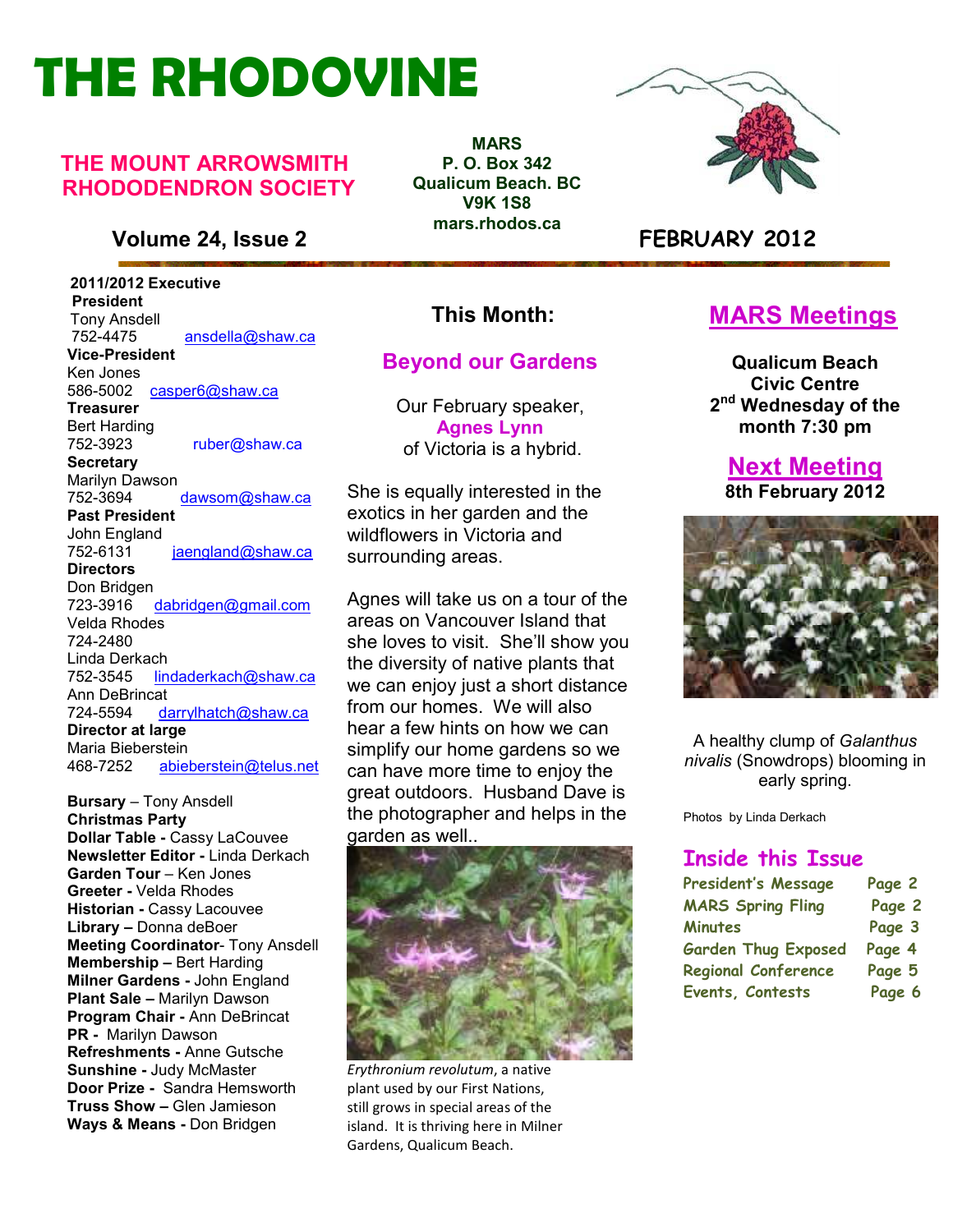# **THE RHODOVINE**

#### **THE MOUNT ARROWSMITH RHODODENDRON SOCIETY**

#### **Volume 24, Issue 2 FEBRUARY 2012**

 **2011/2012 Executive President**  Tony Ansdell<br>752-4475 752-4475 ansdella@shaw.ca **Vice-President**  Ken Jones 586-5002casper6@shaw.ca **Treasurer**  Bert Harding<br>752-3923 ruber@shaw.ca **Secretary** Marilyn Dawson<br>752-3694 dawsom@shaw.ca **Past President**  John England<br>752-6131 jaengland@shaw.ca **Directors**  Don Bridgen 723-3916 dabridgen@gmail.com Velda Rhodes 724-2480 Linda Derkach<br>752-3545 lin lindaderkach@shaw.ca Ann DeBrincat<br>724-5594 da darrylhatch@shaw.ca **Director at large**  Maria Bieberstein<br>468-7252 abje 468-7252 abieberstein@telus.net

**Refreshments -** Anne Gutsche<br> **Registering Lucia Malacter Bursary** – Tony Ansdell **Christmas Party Dollar Table -** Cassy LaCouvee **Newsletter Editor -** Linda Derkach **Garden Tour** – Ken Jones **Greeter -** Velda Rhodes **Historian -** Cassy Lacouvee **Library –** Donna deBoer **Meeting Coordinator**- Tony Ansdell **Membership –** Bert Harding **Milner Gardens -** John England **Plant Sale –** Marilyn Dawson **Program Chair -** Ann DeBrincat **PR -** Marilyn Dawson **Sunshine -** Judy McMaster **Door Prize -** Sandra Hemsworth **Truss Show –** Glen Jamieson **Ways & Means -** Don Bridgen

**MARS P. O. Box 342 Qualicum Beach. BC V9K 1S8 mars.rhodos.ca** 



#### **This Month:**

#### **Beyond our Gardens**

Our February speaker, **Agnes Lynn**  of Victoria is a hybrid.

She is equally interested in the exotics in her garden and the wildflowers in Victoria and surrounding areas.

Agnes will take us on a tour of the areas on Vancouver Island that she loves to visit. She'll show you the diversity of native plants that we can enjoy just a short distance from our homes. We will also hear a few hints on how we can simplify our home gardens so we can have more time to enjoy the great outdoors. Husband Dave is the photographer and helps in the garden as well..



*Erythronium revolutum*, a native plant used by our First Nations, still grows in special areas of the island. It is thriving here in Milner Gardens, Qualicum Beach.

#### **MARS Meetings**

**Qualicum Beach Civic Centre 2 nd Wednesday of the month 7:30 pm** 

**Next Meeting 8th February 2012** 



A healthy clump of *Galanthus nivalis* (Snowdrops) blooming in early spring.

Photos by Linda Derkach

#### **Inside this Issue**

| <b>President's Message</b> | Page 2 |
|----------------------------|--------|
| <b>MARS Spring Fling</b>   | Page 2 |
| <b>Minutes</b>             | Page 3 |
| <b>Garden Thug Exposed</b> | Page 4 |
| <b>Regional Conference</b> | Page 5 |
| Events, Contests           | Page 6 |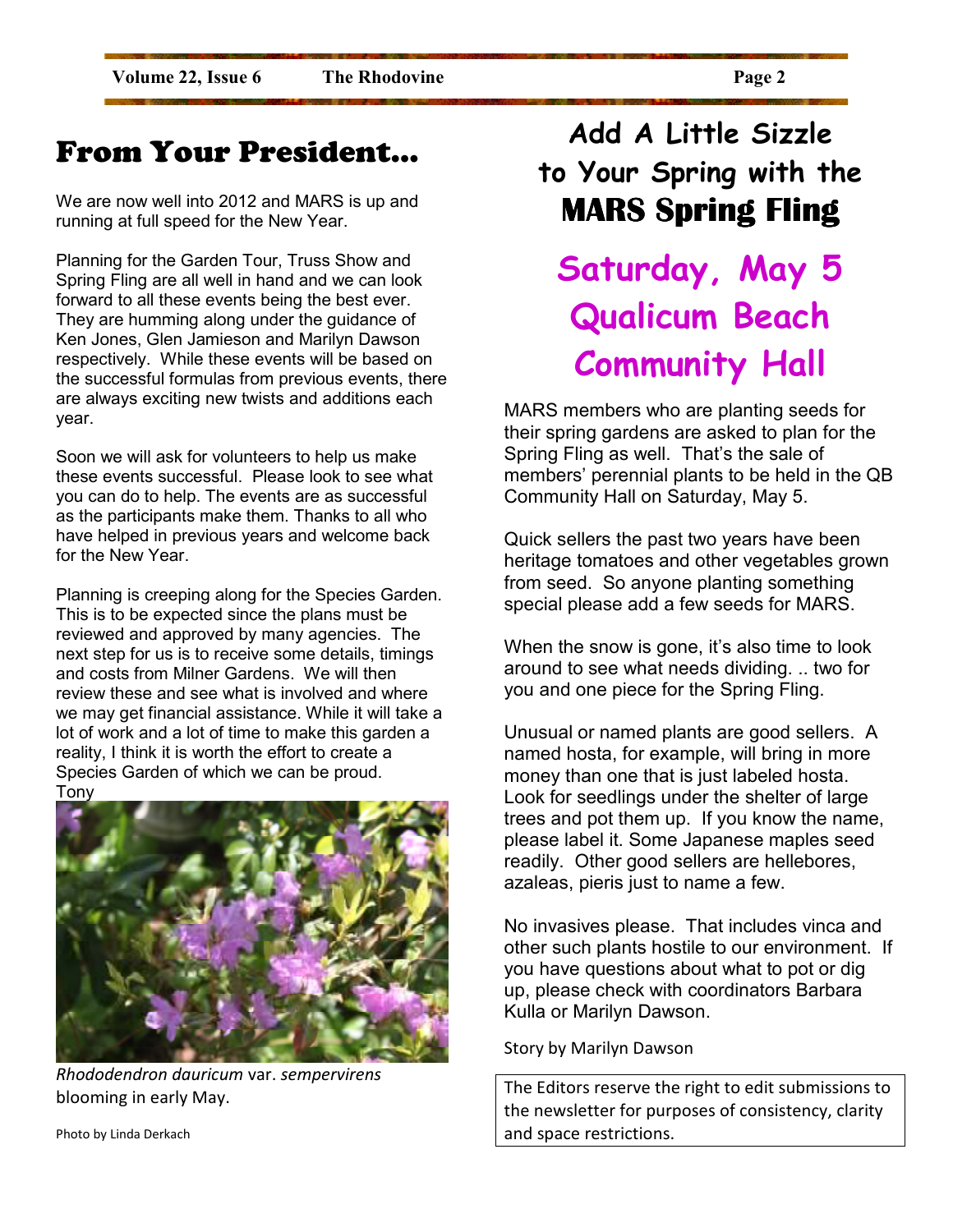### From Your President…

We are now well into 2012 and MARS is up and running at full speed for the New Year.

Planning for the Garden Tour, Truss Show and Spring Fling are all well in hand and we can look forward to all these events being the best ever. They are humming along under the guidance of Ken Jones, Glen Jamieson and Marilyn Dawson respectively. While these events will be based on the successful formulas from previous events, there are always exciting new twists and additions each year.

Soon we will ask for volunteers to help us make these events successful. Please look to see what you can do to help. The events are as successful as the participants make them. Thanks to all who have helped in previous years and welcome back for the New Year.

Planning is creeping along for the Species Garden. This is to be expected since the plans must be reviewed and approved by many agencies. The next step for us is to receive some details, timings and costs from Milner Gardens. We will then review these and see what is involved and where we may get financial assistance. While it will take a lot of work and a lot of time to make this garden a reality, I think it is worth the effort to create a Species Garden of which we can be proud. Tony



*Rhododendron dauricum* var. *sempervirens* blooming in early May.

**Add A Little Sizzle to Your Spring with the MARS Spring Fling** 

### **Saturday, May 5 Qualicum Beach Community Hall**

MARS members who are planting seeds for their spring gardens are asked to plan for the Spring Fling as well. That's the sale of members' perennial plants to be held in the QB Community Hall on Saturday, May 5.

Quick sellers the past two years have been heritage tomatoes and other vegetables grown from seed. So anyone planting something special please add a few seeds for MARS.

When the snow is gone, it's also time to look around to see what needs dividing. .. two for you and one piece for the Spring Fling.

Unusual or named plants are good sellers. A named hosta, for example, will bring in more money than one that is just labeled hosta. Look for seedlings under the shelter of large trees and pot them up. If you know the name, please label it. Some Japanese maples seed readily. Other good sellers are hellebores, azaleas, pieris just to name a few.

No invasives please. That includes vinca and other such plants hostile to our environment. If you have questions about what to pot or dig up, please check with coordinators Barbara Kulla or Marilyn Dawson.

Story by Marilyn Dawson

The Editors reserve the right to edit submissions to the newsletter for purposes of consistency, clarity and space restrictions.

Photo by Linda Derkach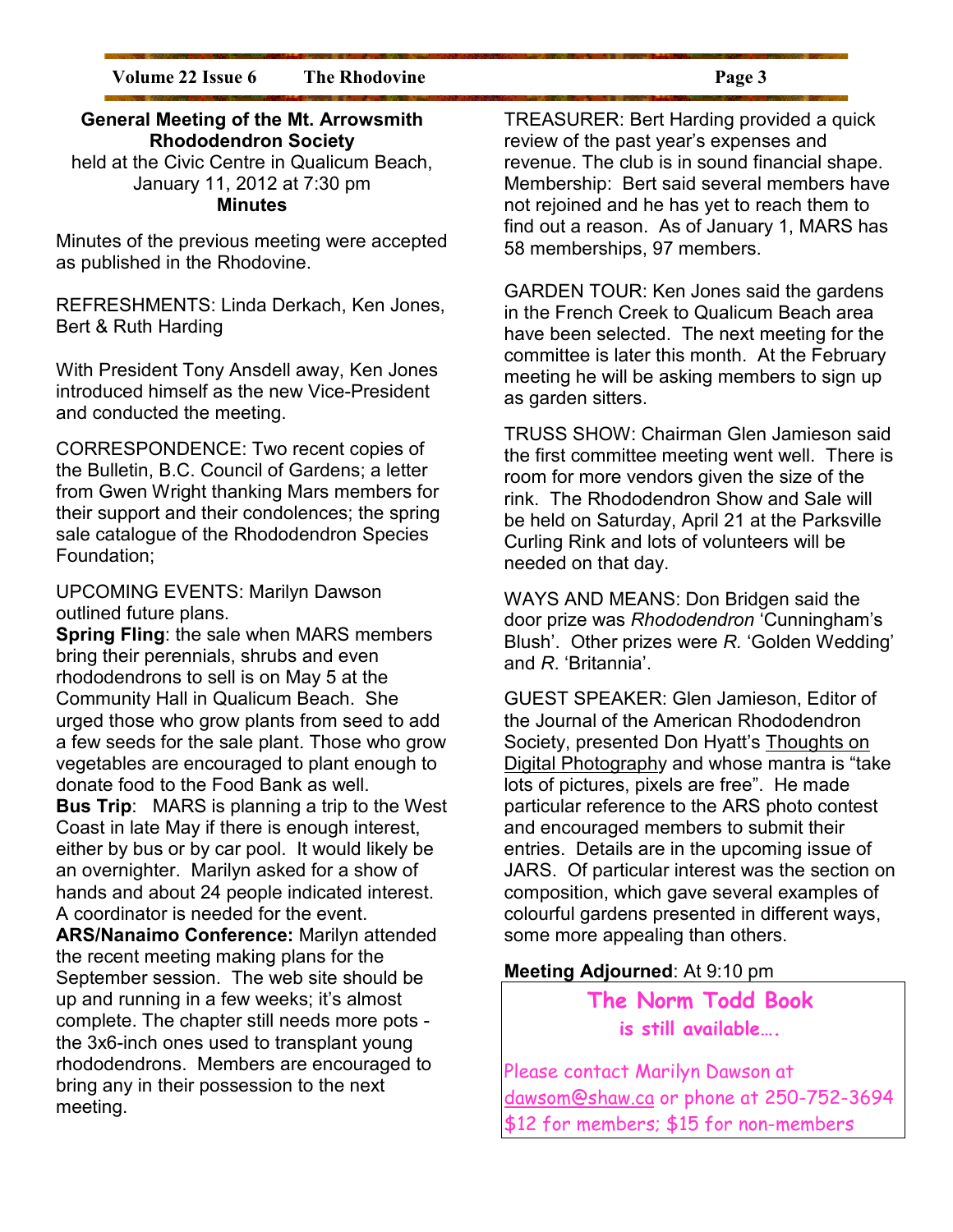#### **General Meeting of the Mt. Arrowsmith Rhododendron Society**

held at the Civic Centre in Qualicum Beach, January 11, 2012 at 7:30 pm **Minutes** 

Minutes of the previous meeting were accepted as published in the Rhodovine.

REFRESHMENTS: Linda Derkach, Ken Jones, Bert & Ruth Harding

With President Tony Ansdell away, Ken Jones introduced himself as the new Vice-President and conducted the meeting.

CORRESPONDENCE: Two recent copies of the Bulletin, B.C. Council of Gardens; a letter from Gwen Wright thanking Mars members for their support and their condolences; the spring sale catalogue of the Rhododendron Species Foundation;

UPCOMING EVENTS: Marilyn Dawson outlined future plans.

**Spring Fling**: the sale when MARS members bring their perennials, shrubs and even rhododendrons to sell is on May 5 at the Community Hall in Qualicum Beach. She urged those who grow plants from seed to add a few seeds for the sale plant. Those who grow vegetables are encouraged to plant enough to donate food to the Food Bank as well.

**Bus Trip**: MARS is planning a trip to the West Coast in late May if there is enough interest, either by bus or by car pool. It would likely be an overnighter. Marilyn asked for a show of hands and about 24 people indicated interest. A coordinator is needed for the event.

**ARS/Nanaimo Conference:** Marilyn attended the recent meeting making plans for the September session. The web site should be up and running in a few weeks; it's almost complete. The chapter still needs more pots the 3x6-inch ones used to transplant young rhododendrons. Members are encouraged to bring any in their possession to the next meeting.

TREASURER: Bert Harding provided a quick review of the past year's expenses and revenue. The club is in sound financial shape. Membership: Bert said several members have not rejoined and he has yet to reach them to find out a reason. As of January 1, MARS has 58 memberships, 97 members.

GARDEN TOUR: Ken Jones said the gardens in the French Creek to Qualicum Beach area have been selected. The next meeting for the committee is later this month. At the February meeting he will be asking members to sign up as garden sitters.

TRUSS SHOW: Chairman Glen Jamieson said the first committee meeting went well. There is room for more vendors given the size of the rink. The Rhododendron Show and Sale will be held on Saturday, April 21 at the Parksville Curling Rink and lots of volunteers will be needed on that day.

WAYS AND MEANS: Don Bridgen said the door prize was *Rhododendron* 'Cunningham's Blush'. Other prizes were *R.* 'Golden Wedding' and *R*. 'Britannia'.

GUEST SPEAKER: Glen Jamieson, Editor of the Journal of the American Rhododendron Society, presented Don Hyatt's Thoughts on Digital Photography and whose mantra is "take lots of pictures, pixels are free". He made particular reference to the ARS photo contest and encouraged members to submit their entries. Details are in the upcoming issue of JARS. Of particular interest was the section on composition, which gave several examples of colourful gardens presented in different ways, some more appealing than others.

#### **Meeting Adjourned**: At 9:10 pm

**The Norm Todd Book is still available….** 

Please contact Marilyn Dawson at dawsom@shaw.ca or phone at 250-752-3694 \$12 for members; \$15 for non-members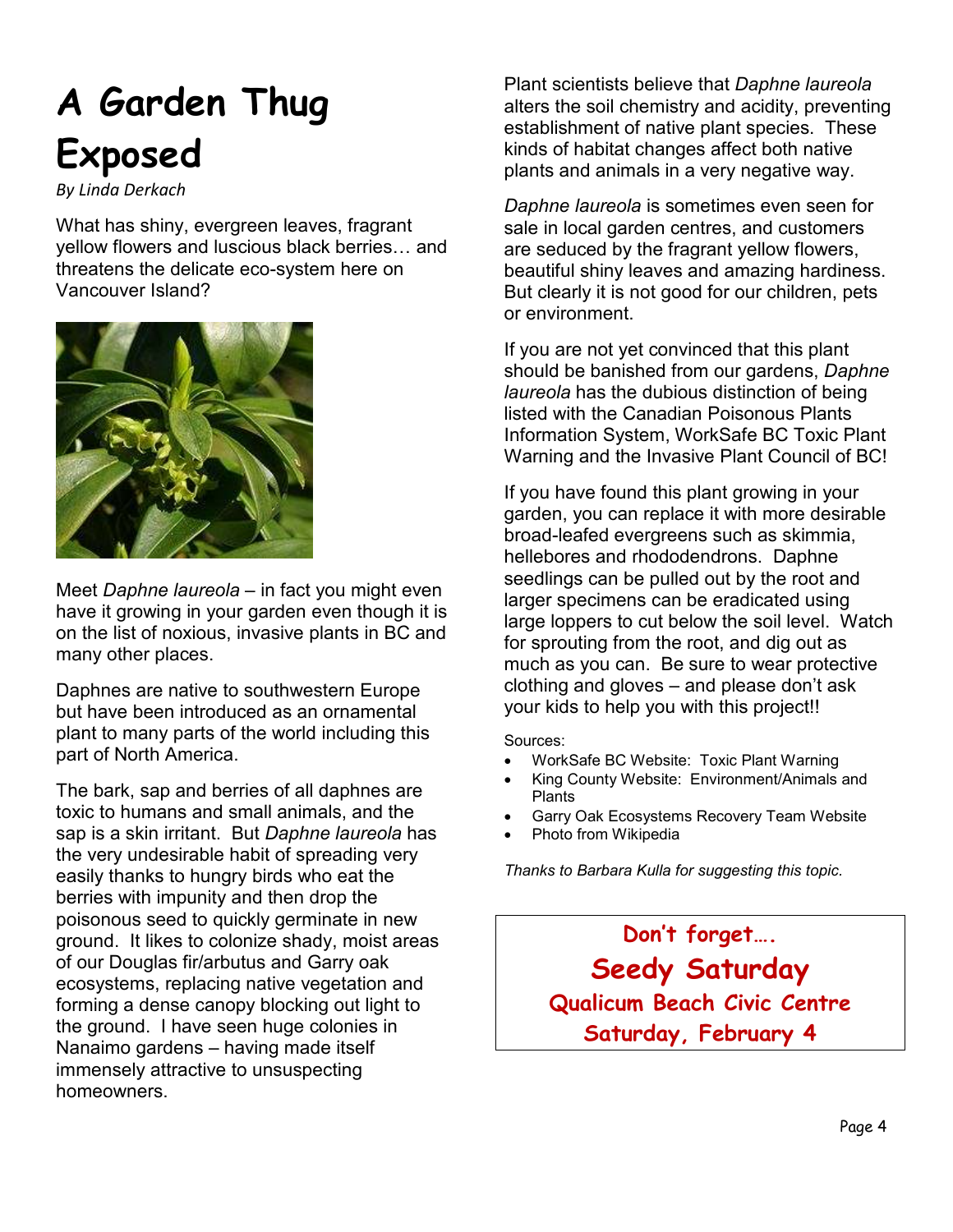## **A Garden Thug Exposed**

*By Linda Derkach* 

What has shiny, evergreen leaves, fragrant yellow flowers and luscious black berries... and threatens the delicate eco-system here on Vancouver Island?



Meet *Daphne laureola* – in fact you might even have it growing in your garden even though it is on the list of noxious, invasive plants in BC and many other places.

Daphnes are native to southwestern Europe but have been introduced as an ornamental plant to many parts of the world including this part of North America.

The bark, sap and berries of all daphnes are toxic to humans and small animals, and the sap is a skin irritant. But *Daphne laureola* has the very undesirable habit of spreading very easily thanks to hungry birds who eat the berries with impunity and then drop the poisonous seed to quickly germinate in new ground. It likes to colonize shady, moist areas of our Douglas fir/arbutus and Garry oak ecosystems, replacing native vegetation and forming a dense canopy blocking out light to the ground. I have seen huge colonies in Nanaimo gardens – having made itself immensely attractive to unsuspecting homeowners.

Plant scientists believe that *Daphne laureola* alters the soil chemistry and acidity, preventing establishment of native plant species. These kinds of habitat changes affect both native plants and animals in a very negative way.

*Daphne laureola* is sometimes even seen for sale in local garden centres, and customers are seduced by the fragrant yellow flowers, beautiful shiny leaves and amazing hardiness. But clearly it is not good for our children, pets or environment.

If you are not yet convinced that this plant should be banished from our gardens, *Daphne laureola* has the dubious distinction of being listed with the Canadian Poisonous Plants Information System, WorkSafe BC Toxic Plant Warning and the Invasive Plant Council of BC!

If you have found this plant growing in your garden, you can replace it with more desirable broad-leafed evergreens such as skimmia, hellebores and rhododendrons. Daphne seedlings can be pulled out by the root and larger specimens can be eradicated using large loppers to cut below the soil level. Watch for sprouting from the root, and dig out as much as you can. Be sure to wear protective clothing and gloves – and please don't ask your kids to help you with this project!!

Sources:

- WorkSafe BC Website: Toxic Plant Warning
- King County Website: Environment/Animals and Plants
- Garry Oak Ecosystems Recovery Team Website
- Photo from Wikipedia

*Thanks to Barbara Kulla for suggesting this topic.* 

**Don't forget…. Seedy Saturday Qualicum Beach Civic Centre Saturday, February 4**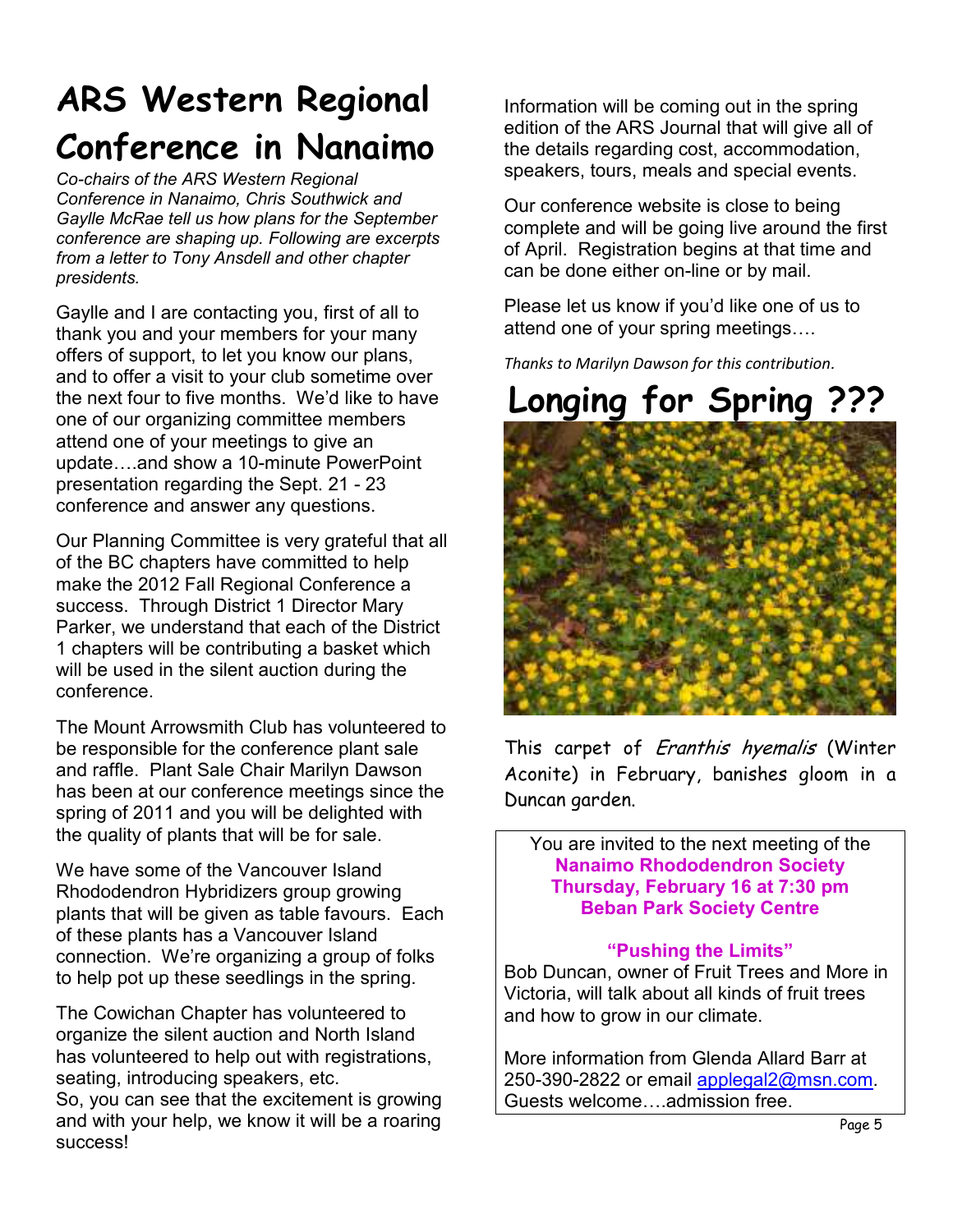### **ARS Western Regional Conference in Nanaimo**

*Co-chairs of the ARS Western Regional Conference in Nanaimo, Chris Southwick and Gaylle McRae tell us how plans for the September conference are shaping up. Following are excerpts from a letter to Tony Ansdell and other chapter presidents.* 

Gaylle and I are contacting you, first of all to thank you and your members for your many offers of support, to let you know our plans, and to offer a visit to your club sometime over the next four to five months. We'd like to have one of our organizing committee members attend one of your meetings to give an update...and show a 10-minute PowerPoint presentation regarding the Sept. 21 - 23 conference and answer any questions.

Our Planning Committee is very grateful that all of the BC chapters have committed to help make the 2012 Fall Regional Conference a success. Through District 1 Director Mary Parker, we understand that each of the District 1 chapters will be contributing a basket which will be used in the silent auction during the conference.

The Mount Arrowsmith Club has volunteered to be responsible for the conference plant sale and raffle. Plant Sale Chair Marilyn Dawson has been at our conference meetings since the spring of 2011 and you will be delighted with the quality of plants that will be for sale.

We have some of the Vancouver Island Rhododendron Hybridizers group growing plants that will be given as table favours. Each of these plants has a Vancouver Island connection. We're organizing a group of folks to help pot up these seedlings in the spring.

The Cowichan Chapter has volunteered to organize the silent auction and North Island has volunteered to help out with registrations, seating, introducing speakers, etc.

So, you can see that the excitement is growing and with your help, we know it will be a roaring success!

Information will be coming out in the spring edition of the ARS Journal that will give all of the details regarding cost, accommodation, speakers, tours, meals and special events.

Our conference website is close to being complete and will be going live around the first of April. Registration begins at that time and can be done either on-line or by mail.

Please let us know if you'd like one of us to attend one of your spring meetings....

*Thanks to Marilyn Dawson for this contribution.* 

### **Longing for Spring ???**



This carpet of Eranthis hyemalis (Winter Aconite) in February, banishes gloom in a Duncan garden.

You are invited to the next meeting of the **Nanaimo Rhododendron Society Thursday, February 16 at 7:30 pm Beban Park Society Centre** 

#### **"Pushing the Limits"**

Bob Duncan, owner of Fruit Trees and More in Victoria, will talk about all kinds of fruit trees and how to grow in our climate.

More information from Glenda Allard Barr at 250-390-2822 or email applegal2@msn.com. Guests welcome....admission free.